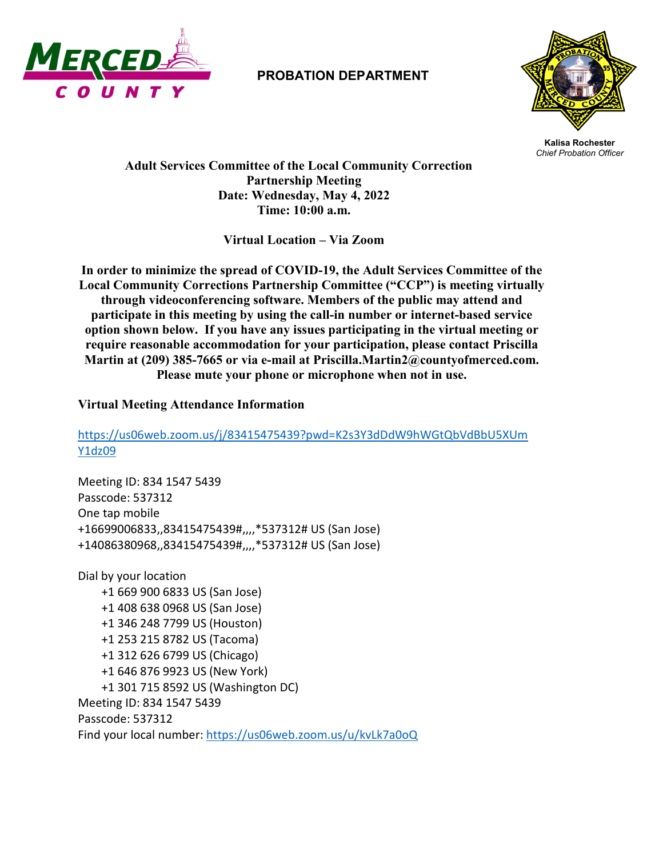

## **PROBATION DEPARTMENT**



**Kalisa Rochester** *Chief Probation Officer*

 **Adult Services Committee of the Local Community Correction Partnership Meeting Date: Wednesday, May 4, 2022 Time: 10:00 a.m.**

**Virtual Location – Via Zoom**

**In order to minimize the spread of COVID-19, the Adult Services Committee of the Local Community Corrections Partnership Committee ("CCP") is meeting virtually through videoconferencing software. Members of the public may attend and participate in this meeting by using the call-in number or internet-based service option shown below. If you have any issues participating in the virtual meeting or require reasonable accommodation for your participation, please contact Priscilla Martin at (209) 385-7665 or via e-mail at Priscilla.Martin2@countyofmerced.com. Please mute your phone or microphone when not in use.**

## **Virtual Meeting Attendance Information**

[https://us06web.zoom.us/j/83415475439?pwd=K2s3Y3dDdW9hWGtQbVdBbU5XUm](https://us06web.zoom.us/j/83415475439?pwd=K2s3Y3dDdW9hWGtQbVdBbU5XUmY1dz09) [Y1dz09](https://us06web.zoom.us/j/83415475439?pwd=K2s3Y3dDdW9hWGtQbVdBbU5XUmY1dz09)

Meeting ID: 834 1547 5439 Passcode: 537312 One tap mobile +16699006833,,83415475439#,,,,\*537312# US (San Jose) +14086380968,,83415475439#,,,,\*537312# US (San Jose)

Dial by your location +1 669 900 6833 US (San Jose) +1 408 638 0968 US (San Jose) +1 346 248 7799 US (Houston) +1 253 215 8782 US (Tacoma) +1 312 626 6799 US (Chicago) +1 646 876 9923 US (New York) +1 301 715 8592 US (Washington DC) Meeting ID: 834 1547 5439 Passcode: 537312 Find your local number:<https://us06web.zoom.us/u/kvLk7a0oQ>